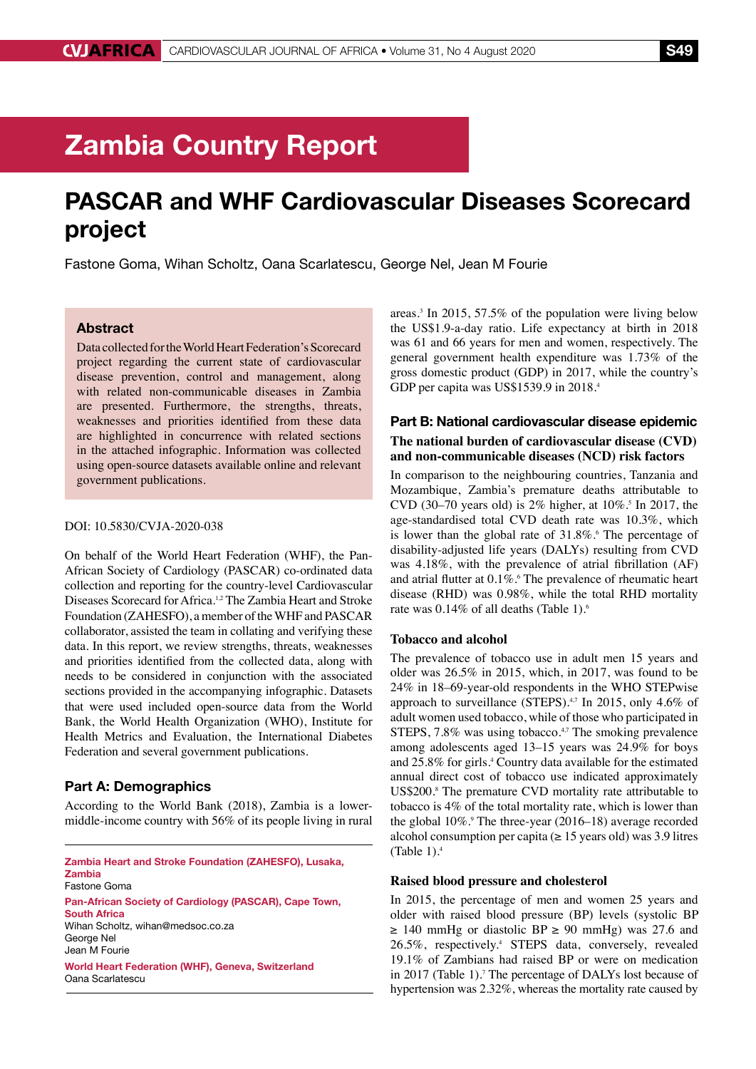# Zambia Country Report

## PASCAR and WHF Cardiovascular Diseases Scorecard project

Fastone Goma, Wihan Scholtz, Oana Scarlatescu, George Nel, Jean M Fourie

### Abstract

Data collected for the World Heart Federation's Scorecard project regarding the current state of cardiovascular disease prevention, control and management, along with related non-communicable diseases in Zambia are presented. Furthermore, the strengths, threats, weaknesses and priorities identified from these data are highlighted in concurrence with related sections in the attached infographic. Information was collected using open-source datasets available online and relevant government publications.

#### DOI: 10.5830/CVJA-2020-038

On behalf of the World Heart Federation (WHF), the Pan-African Society of Cardiology (PASCAR) co-ordinated data collection and reporting for the country-level Cardiovascular Diseases Scorecard for Africa.1,2 The Zambia Heart and Stroke Foundation (ZAHESFO), a member of the WHF and PASCAR collaborator, assisted the team in collating and verifying these data. In this report, we review strengths, threats, weaknesses and priorities identified from the collected data, along with needs to be considered in conjunction with the associated sections provided in the accompanying infographic. Datasets that were used included open-source data from the World Bank, the World Health Organization (WHO), Institute for Health Metrics and Evaluation, the International Diabetes Federation and several government publications.

#### Part A: Demographics

According to the World Bank (2018), Zambia is a lowermiddle-income country with 56% of its people living in rural

Zambia Heart and Stroke Foundation (ZAHESFO), Lusaka, Zambia Fastone Goma Pan-African Society of Cardiology (PASCAR), Cape Town, South Africa Wihan Scholtz, wihan@medsoc.co.za George Nel Jean M Fourie World Heart Federation (WHF), Geneva, Switzerland Oana Scarlatescu

areas.3 In 2015, 57.5% of the population were living below the US\$1.9-a-day ratio. Life expectancy at birth in 2018 was 61 and 66 years for men and women, respectively. The general government health expenditure was 1.73% of the gross domestic product (GDP) in 2017, while the country's GDP per capita was US\$1539.9 in 2018.<sup>4</sup>

## Part B: National cardiovascular disease epidemic **The national burden of cardiovascular disease (CVD) and non-communicable diseases (NCD) risk factors**

In comparison to the neighbouring countries, Tanzania and Mozambique, Zambia's premature deaths attributable to CVD (30–70 years old) is  $2\%$  higher, at  $10\%$ .<sup>5</sup> In 2017, the age-standardised total CVD death rate was 10.3%, which is lower than the global rate of  $31.8\%$ . The percentage of disability-adjusted life years (DALYs) resulting from CVD was 4.18%, with the prevalence of atrial fibrillation (AF) and atrial flutter at  $0.1\%$ . The prevalence of rheumatic heart disease (RHD) was 0.98%, while the total RHD mortality rate was 0.14% of all deaths (Table 1).<sup>6</sup>

#### **Tobacco and alcohol**

The prevalence of tobacco use in adult men 15 years and older was 26.5% in 2015, which, in 2017, was found to be 24% in 18–69-year-old respondents in the WHO STEPwise approach to surveillance (STEPS). $4,7$  In 2015, only 4.6% of adult women used tobacco, while of those who participated in STEPS, 7.8% was using tobacco.<sup>4,7</sup> The smoking prevalence among adolescents aged 13–15 years was 24.9% for boys and 25.8% for girls.4 Country data available for the estimated annual direct cost of tobacco use indicated approximately US\$200.<sup>8</sup> The premature CVD mortality rate attributable to tobacco is 4% of the total mortality rate, which is lower than the global 10%.<sup>9</sup> The three-year (2016–18) average recorded alcohol consumption per capita ( $\geq 15$  years old) was 3.9 litres (Table  $1$ ).<sup>4</sup>

#### **Raised blood pressure and cholesterol**

In 2015, the percentage of men and women 25 years and older with raised blood pressure (BP) levels (systolic BP  $\geq$  140 mmHg or diastolic BP  $\geq$  90 mmHg) was 27.6 and 26.5%, respectively.4 STEPS data, conversely, revealed 19.1% of Zambians had raised BP or were on medication in 2017 (Table 1).<sup>7</sup> The percentage of DALYs lost because of hypertension was 2.32%, whereas the mortality rate caused by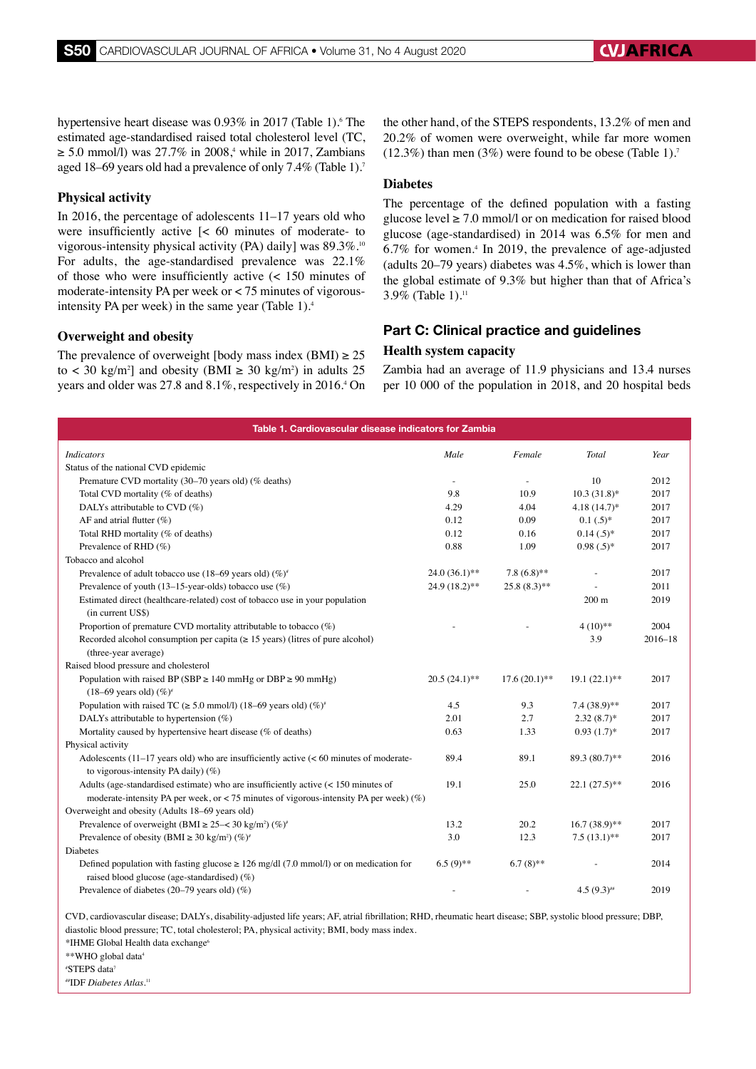hypertensive heart disease was 0.93% in 2017 (Table 1). The estimated age-standardised raised total cholesterol level (TC,  $\geq$  5.0 mmol/l) was 27.7% in 2008,<sup>4</sup> while in 2017, Zambians aged 18–69 years old had a prevalence of only 7.4% (Table 1).7

#### **Physical activity**

In 2016, the percentage of adolescents 11–17 years old who were insufficiently active [< 60 minutes of moderate- to vigorous-intensity physical activity (PA) daily] was 89.3%.<sup>10</sup> For adults, the age-standardised prevalence was 22.1% of those who were insufficiently active (< 150 minutes of moderate-intensity PA per week or < 75 minutes of vigorousintensity PA per week) in the same year (Table 1).<sup>4</sup>

#### **Overweight and obesity**

The prevalence of overweight [body mass index (BMI)  $\geq$  25 to  $\langle 30 \text{ kg/m}^2 \rangle$  and obesity (BMI  $\geq 30 \text{ kg/m}^2$ ) in adults 25 years and older was 27.8 and 8.1%, respectively in 2016.4 On the other hand, of the STEPS respondents, 13.2% of men and 20.2% of women were overweight, while far more women  $(12.3\%)$  than men  $(3\%)$  were found to be obese (Table 1).<sup>7</sup>

#### **Diabetes**

The percentage of the defined population with a fasting glucose level  $\geq 7.0$  mmol/l or on medication for raised blood glucose (age-standardised) in 2014 was 6.5% for men and 6.7% for women.4 In 2019, the prevalence of age-adjusted (adults 20–79 years) diabetes was 4.5%, which is lower than the global estimate of 9.3% but higher than that of Africa's 3.9% (Table 1).11

## Part C: Clinical practice and guidelines

#### **Health system capacity**

Zambia had an average of 11.9 physicians and 13.4 nurses per 10 000 of the population in 2018, and 20 hospital beds

| Table 1. Cardiovascular disease indicators for Zambia                                                                                                         |                 |                          |                 |             |
|---------------------------------------------------------------------------------------------------------------------------------------------------------------|-----------------|--------------------------|-----------------|-------------|
| <b>Indicators</b>                                                                                                                                             | Male            | Female                   | Total           | Year        |
| Status of the national CVD epidemic                                                                                                                           |                 |                          |                 |             |
| Premature CVD mortality (30-70 years old) (% deaths)                                                                                                          | $\sim$          | $\overline{\phantom{a}}$ | 10              | 2012        |
| Total CVD mortality (% of deaths)                                                                                                                             | 9.8             | 10.9                     | $10.3(31.8)$ *  | 2017        |
| DALYs attributable to CVD (%)                                                                                                                                 | 4.29            | 4.04                     | $4.18(14.7)$ *  | 2017        |
| AF and atrial flutter $(\%)$                                                                                                                                  | 0.12            | 0.09                     | $0.1(.5)$ *     | 2017        |
| Total RHD mortality (% of deaths)                                                                                                                             | 0.12            | 0.16                     | $0.14(.5)^*$    | 2017        |
| Prevalence of RHD (%)                                                                                                                                         | 0.88            | 1.09                     | $0.98(.5)^*$    | 2017        |
| Tobacco and alcohol                                                                                                                                           |                 |                          |                 |             |
| Prevalence of adult tobacco use (18–69 years old) $(\%)^*$                                                                                                    | $24.0(36.1)$ ** | $7.8(6.8)$ **            | $\overline{a}$  | 2017        |
| Prevalence of youth (13-15-year-olds) tobacco use (%)                                                                                                         | 24.9 (18.2)**   | $25.8(8.3)$ **           |                 | 2011        |
| Estimated direct (healthcare-related) cost of tobacco use in your population<br>(in current US\$)                                                             |                 |                          | $200 \text{ m}$ | 2019        |
| Proportion of premature CVD mortality attributable to tobacco $(\%)$                                                                                          |                 |                          | $4(10)**$       | 2004        |
| Recorded alcohol consumption per capita ( $\geq$ 15 years) (litres of pure alcohol)<br>(three-year average)                                                   |                 |                          | 3.9             | $2016 - 18$ |
| Raised blood pressure and cholesterol                                                                                                                         |                 |                          |                 |             |
| Population with raised BP (SBP $\geq$ 140 mmHg or DBP $\geq$ 90 mmHg)                                                                                         | $20.5(24.1)$ ** | $17.6(20.1)$ **          | $19.1(22.1)$ ** | 2017        |
| $(18-69 \text{ years old})$ (%) <sup>*</sup>                                                                                                                  |                 |                          |                 |             |
| Population with raised TC ( $\geq$ 5.0 mmol/l) (18–69 years old) (%) <sup>*</sup>                                                                             | 4.5             | 9.3                      | $7.4(38.9)$ **  | 2017        |
| DALYs attributable to hypertension $(\%)$                                                                                                                     | 2.01            | 2.7                      | $2.32(8.7)$ *   | 2017        |
| Mortality caused by hypertensive heart disease (% of deaths)                                                                                                  | 0.63            | 1.33                     | $0.93(1.7)$ *   | 2017        |
| Physical activity                                                                                                                                             |                 |                          |                 |             |
| Adolescents $(11-17$ years old) who are insufficiently active $(< 60$ minutes of moderate-<br>to vigorous-intensity PA daily) $(\%)$                          | 89.4            | 89.1                     | 89.3 (80.7)**   | 2016        |
| Adults (age-standardised estimate) who are insufficiently active $\left($ < 150 minutes of                                                                    | 19.1            | 25.0                     | $22.1(27.5)$ ** | 2016        |
| moderate-intensity PA per week, or < 75 minutes of vigorous-intensity PA per week) $(\%)$                                                                     |                 |                          |                 |             |
| Overweight and obesity (Adults 18-69 years old)                                                                                                               |                 |                          |                 |             |
| Prevalence of overweight (BMI $\geq$ 25–< 30 kg/m <sup>2</sup> ) (%) <sup>*</sup>                                                                             | 13.2            | 20.2                     | $16.7(38.9)$ ** | 2017        |
| Prevalence of obesity (BMI $\geq 30 \text{ kg/m}^2$ ) (%) <sup>#</sup>                                                                                        | 3.0             | 12.3                     | $7.5(13.1)$ **  | 2017        |
| Diabetes                                                                                                                                                      |                 |                          |                 |             |
| Defined population with fasting glucose $\geq 126$ mg/dl (7.0 mmol/l) or on medication for<br>raised blood glucose (age-standardised) (%)                     | $6.5(9)$ **     | $6.7(8)$ **              |                 | 2014        |
| Prevalence of diabetes (20-79 years old) (%)                                                                                                                  |                 |                          | $4.5(9.3)$ #    | 2019        |
| CVD, cardiovascular disease; DALYs, disability-adjusted life years; AF, atrial fibrillation; RHD, rheumatic heart disease; SBP, systolic blood pressure; DBP, |                 |                          |                 |             |

diastolic blood pressure; TC, total cholesterol; PA, physical activity; BMI, body mass index.

\*IHME Global Health data exchange6

\*\*WHO global data4

# STEPS data7

##IDF *Diabetes Atlas*. 11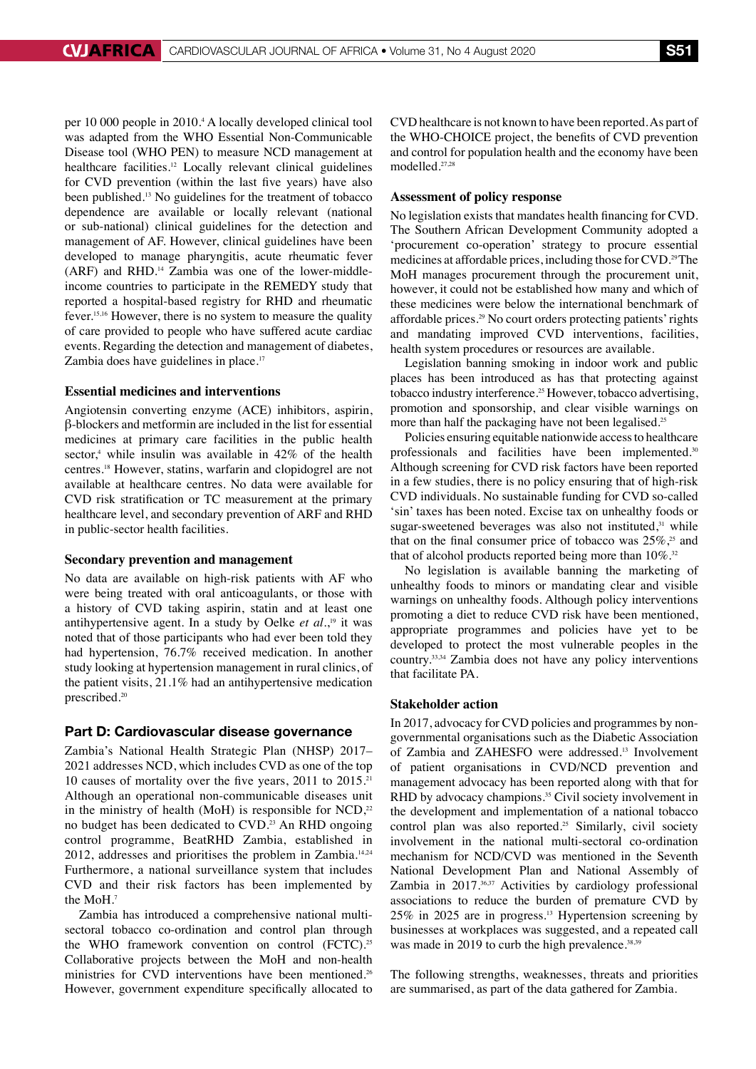per 10 000 people in 2010.4 A locally developed clinical tool was adapted from the WHO Essential Non-Communicable Disease tool (WHO PEN) to measure NCD management at healthcare facilities.<sup>12</sup> Locally relevant clinical guidelines for CVD prevention (within the last five years) have also been published.13 No guidelines for the treatment of tobacco dependence are available or locally relevant (national or sub-national) clinical guidelines for the detection and management of AF. However, clinical guidelines have been developed to manage pharyngitis, acute rheumatic fever (ARF) and RHD.14 Zambia was one of the lower-middleincome countries to participate in the REMEDY study that reported a hospital-based registry for RHD and rheumatic fever.15,16 However, there is no system to measure the quality of care provided to people who have suffered acute cardiac events. Regarding the detection and management of diabetes, Zambia does have guidelines in place.<sup>17</sup>

#### **Essential medicines and interventions**

Angiotensin converting enzyme (ACE) inhibitors, aspirin, β-blockers and metformin are included in the list for essential medicines at primary care facilities in the public health sector,<sup>4</sup> while insulin was available in  $42\%$  of the health centres.18 However, statins, warfarin and clopidogrel are not available at healthcare centres. No data were available for CVD risk stratification or TC measurement at the primary healthcare level, and secondary prevention of ARF and RHD in public-sector health facilities.

#### **Secondary prevention and management**

No data are available on high-risk patients with AF who were being treated with oral anticoagulants, or those with a history of CVD taking aspirin, statin and at least one antihypertensive agent. In a study by Oelke *et al.*, 19 it was noted that of those participants who had ever been told they had hypertension, 76.7% received medication. In another study looking at hypertension management in rural clinics, of the patient visits, 21.1% had an antihypertensive medication prescribed.<sup>20</sup>

## Part D: Cardiovascular disease governance

Zambia's National Health Strategic Plan (NHSP) 2017– 2021 addresses NCD, which includes CVD as one of the top 10 causes of mortality over the five years, 2011 to 2015.<sup>21</sup> Although an operational non-communicable diseases unit in the ministry of health (MoH) is responsible for NCD, $22$ no budget has been dedicated to CVD.<sup>23</sup> An RHD ongoing control programme, BeatRHD Zambia, established in 2012, addresses and prioritises the problem in Zambia.14,24 Furthermore, a national surveillance system that includes CVD and their risk factors has been implemented by the MoH.7

Zambia has introduced a comprehensive national multisectoral tobacco co-ordination and control plan through the WHO framework convention on control (FCTC).<sup>25</sup> Collaborative projects between the MoH and non-health ministries for CVD interventions have been mentioned.<sup>26</sup> However, government expenditure specifically allocated to CVD healthcare is not known to have been reported. As part of the WHO-CHOICE project, the benefits of CVD prevention and control for population health and the economy have been modelled.27,28

#### **Assessment of policy response**

No legislation exists that mandates health financing for CVD. The Southern African Development Community adopted a 'procurement co-operation' strategy to procure essential medicines at affordable prices, including those for CVD.29 The MoH manages procurement through the procurement unit, however, it could not be established how many and which of these medicines were below the international benchmark of affordable prices.29 No court orders protecting patients' rights and mandating improved CVD interventions, facilities, health system procedures or resources are available.

Legislation banning smoking in indoor work and public places has been introduced as has that protecting against tobacco industry interference.25 However, tobacco advertising, promotion and sponsorship, and clear visible warnings on more than half the packaging have not been legalised.<sup>25</sup>

Policies ensuring equitable nationwide access to healthcare professionals and facilities have been implemented.<sup>30</sup> Although screening for CVD risk factors have been reported in a few studies, there is no policy ensuring that of high-risk CVD individuals. No sustainable funding for CVD so-called 'sin' taxes has been noted. Excise tax on unhealthy foods or sugar-sweetened beverages was also not instituted, $31$  while that on the final consumer price of tobacco was  $25\%$ ,<sup>25</sup> and that of alcohol products reported being more than  $10\%$ .<sup>32</sup>

No legislation is available banning the marketing of unhealthy foods to minors or mandating clear and visible warnings on unhealthy foods. Although policy interventions promoting a diet to reduce CVD risk have been mentioned, appropriate programmes and policies have yet to be developed to protect the most vulnerable peoples in the country.33,34 Zambia does not have any policy interventions that facilitate PA.

#### **Stakeholder action**

In 2017, advocacy for CVD policies and programmes by nongovernmental organisations such as the Diabetic Association of Zambia and ZAHESFO were addressed.13 Involvement of patient organisations in CVD/NCD prevention and management advocacy has been reported along with that for RHD by advocacy champions.<sup>35</sup> Civil society involvement in the development and implementation of a national tobacco control plan was also reported.<sup>25</sup> Similarly, civil society involvement in the national multi-sectoral co-ordination mechanism for NCD/CVD was mentioned in the Seventh National Development Plan and National Assembly of Zambia in 2017.36,37 Activities by cardiology professional associations to reduce the burden of premature CVD by 25% in 2025 are in progress.13 Hypertension screening by businesses at workplaces was suggested, and a repeated call was made in 2019 to curb the high prevalence.<sup>38,39</sup>

The following strengths, weaknesses, threats and priorities are summarised, as part of the data gathered for Zambia.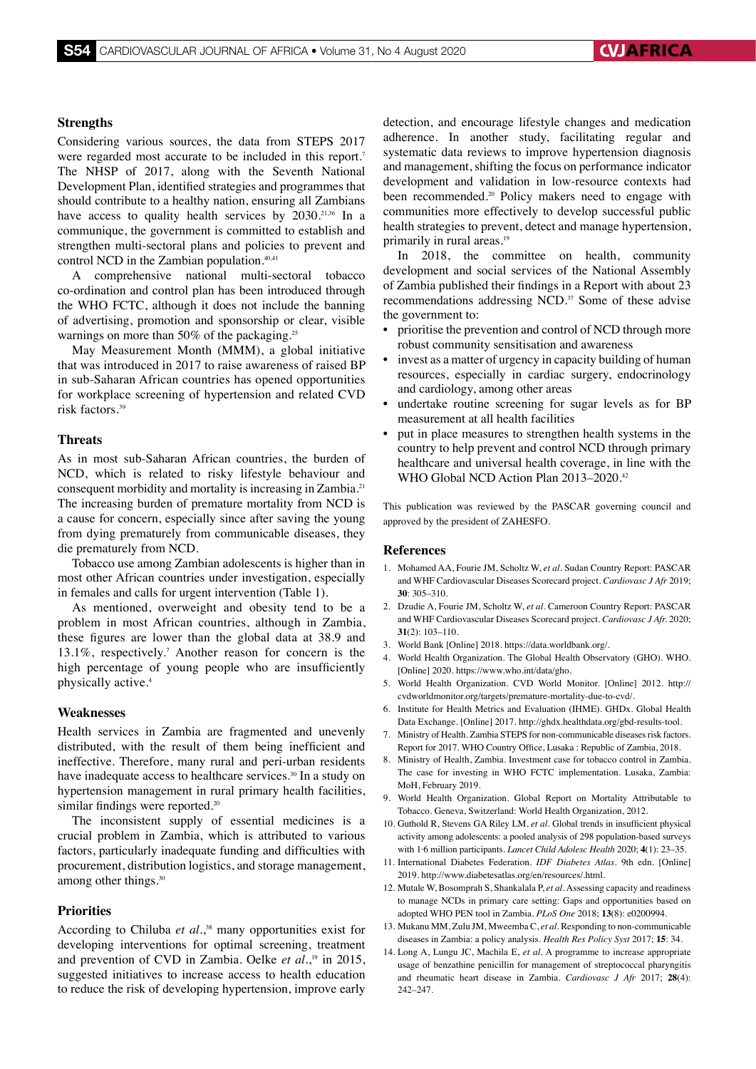#### **Strengths**

Considering various sources, the data from STEPS 2017 were regarded most accurate to be included in this report.<sup>7</sup> The NHSP of 2017, along with the Seventh National Development Plan, identified strategies and programmes that should contribute to a healthy nation, ensuring all Zambians have access to quality health services by 2030.<sup>21,36</sup> In a communique, the government is committed to establish and strengthen multi-sectoral plans and policies to prevent and control NCD in the Zambian population.<sup>40,41</sup>

A comprehensive national multi-sectoral tobacco co-ordination and control plan has been introduced through the WHO FCTC, although it does not include the banning of advertising, promotion and sponsorship or clear, visible warnings on more than 50% of the packaging.<sup>25</sup>

May Measurement Month (MMM), a global initiative that was introduced in 2017 to raise awareness of raised BP in sub-Saharan African countries has opened opportunities for workplace screening of hypertension and related CVD risk factors.39

#### **Threats**

As in most sub-Saharan African countries, the burden of NCD, which is related to risky lifestyle behaviour and consequent morbidity and mortality is increasing in Zambia.<sup>21</sup> The increasing burden of premature mortality from NCD is a cause for concern, especially since after saving the young from dying prematurely from communicable diseases, they die prematurely from NCD.

Tobacco use among Zambian adolescents is higher than in most other African countries under investigation, especially in females and calls for urgent intervention (Table 1).

As mentioned, overweight and obesity tend to be a problem in most African countries, although in Zambia, these figures are lower than the global data at 38.9 and 13.1%, respectively.7 Another reason for concern is the high percentage of young people who are insufficiently physically active.<sup>4</sup>

#### **Weaknesses**

Health services in Zambia are fragmented and unevenly distributed, with the result of them being inefficient and ineffective. Therefore, many rural and peri-urban residents have inadequate access to healthcare services.<sup>30</sup> In a study on hypertension management in rural primary health facilities, similar findings were reported.<sup>20</sup>

The inconsistent supply of essential medicines is a crucial problem in Zambia, which is attributed to various factors, particularly inadequate funding and difficulties with procurement, distribution logistics, and storage management, among other things.<sup>30</sup>

#### **Priorities**

According to Chiluba *et al.*, 38 many opportunities exist for developing interventions for optimal screening, treatment and prevention of CVD in Zambia. Oelke *et al.*, 19 in 2015, suggested initiatives to increase access to health education to reduce the risk of developing hypertension, improve early

detection, and encourage lifestyle changes and medication adherence. In another study, facilitating regular and systematic data reviews to improve hypertension diagnosis and management, shifting the focus on performance indicator development and validation in low-resource contexts had been recommended.<sup>20</sup> Policy makers need to engage with communities more effectively to develop successful public health strategies to prevent, detect and manage hypertension, primarily in rural areas.<sup>19</sup>

In 2018, the committee on health, community development and social services of the National Assembly of Zambia published their findings in a Report with about 23 recommendations addressing NCD.<sup>37</sup> Some of these advise the government to:

- prioritise the prevention and control of NCD through more robust community sensitisation and awareness
- invest as a matter of urgency in capacity building of human resources, especially in cardiac surgery, endocrinology and cardiology, among other areas
- undertake routine screening for sugar levels as for BP measurement at all health facilities
- put in place measures to strengthen health systems in the country to help prevent and control NCD through primary healthcare and universal health coverage, in line with the WHO Global NCD Action Plan 2013–2020.42

This publication was reviewed by the PASCAR governing council and approved by the president of ZAHESFO.

#### **References**

- 1. Mohamed AA, Fourie JM, Scholtz W, *et al.* Sudan Country Report: PASCAR and WHF Cardiovascular Diseases Scorecard project. *Cardiovasc J Afr* 2019; **30**: 305–310.
- 2. Dzudie A, Fourie JM, Scholtz W, *et al.* Cameroon Country Report: PASCAR and WHF Cardiovascular Diseases Scorecard project. *Cardiovasc J Afr.* 2020; **31**(2): 103–110.
- 3. World Bank [Online] 2018. https://data.worldbank.org/.
- 4. World Health Organization. The Global Health Observatory (GHO). WHO. [Online] 2020. https://www.who.int/data/gho.
- 5. World Health Organization. CVD World Monitor. [Online] 2012. http:// cvdworldmonitor.org/targets/premature-mortality-due-to-cvd/.
- 6. Institute for Health Metrics and Evaluation (IHME). GHDx. Global Health Data Exchange. [Online] 2017. http://ghdx.healthdata.org/gbd-results-tool.
- 7. Ministry of Health. Zambia STEPS for non-communicable diseases risk factors. Report for 2017. WHO Country Office, Lusaka : Republic of Zambia, 2018.
- 8. Ministry of Health, Zambia. Investment case for tobacco control in Zambia. The case for investing in WHO FCTC implementation. Lusaka, Zambia: MoH, February 2019.
- 9. World Health Organization. Global Report on Mortality Attributable to Tobacco. Geneva, Switzerland: World Health Organization, 2012.
- 10. Guthold R, Stevens GA Riley LM, *et al.* Global trends in insufficient physical activity among adolescents: a pooled analysis of 298 population-based surveys with 1·6 million participants. *Lancet Child Adolesc Health* 2020; **4**(1): 23–35.
- 11. International Diabetes Federation. *IDF Diabetes Atlas.* 9th edn. [Online] 2019. http://www.diabetesatlas.org/en/resources/.html.
- 12. Mutale W, Bosomprah S, Shankalala P, *et al.* Assessing capacity and readiness to manage NCDs in primary care setting: Gaps and opportunities based on adopted WHO PEN tool in Zambia. *PLoS One* 2018; **13**(8): e0200994.
- 13. Mukanu MM, Zulu JM, Mweemba C, *et al.* Responding to non-communicable diseases in Zambia: a policy analysis. *Health Res Policy Syst* 2017; **15**: 34.
- 14. Long A, Lungu JC, Machila E, *et al.* A programme to increase appropriate usage of benzathine penicillin for management of streptococcal pharyngitis and rheumatic heart disease in Zambia. *Cardiovasc J Afr* 2017; **28**(4): 242–247.